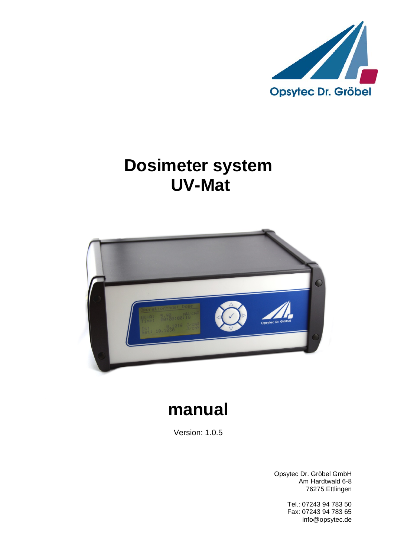

# **Dosimeter system UV-Mat**



# **manual**

Version: 1.0.5

Opsytec Dr. Gröbel GmbH Am Hardtwald 6-8 76275 Ettlingen

> Tel.: 07243 94 783 50 Fax: 07243 94 783 65 info@opsytec.de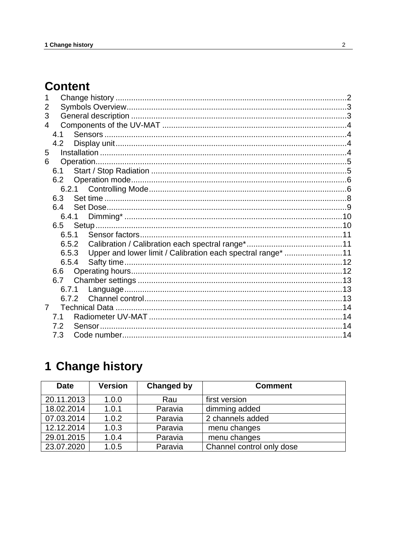# **Content**

| 2              |       |                                                             |  |
|----------------|-------|-------------------------------------------------------------|--|
| 3              |       |                                                             |  |
| 4              |       |                                                             |  |
|                | 4.1   |                                                             |  |
|                | 4.2   |                                                             |  |
| 5              |       |                                                             |  |
| 6              |       |                                                             |  |
|                | 6.1   |                                                             |  |
|                | 6.2   |                                                             |  |
|                |       |                                                             |  |
|                | 6.3   |                                                             |  |
|                | 6.4   |                                                             |  |
|                | 6.4.1 |                                                             |  |
|                | 6.5   |                                                             |  |
|                | 6.5.1 |                                                             |  |
|                | 6.5.2 |                                                             |  |
|                | 6.5.3 | Upper and lower limit / Calibration each spectral range* 11 |  |
|                | 6.5.4 |                                                             |  |
|                |       |                                                             |  |
|                |       |                                                             |  |
|                | 6.7.1 |                                                             |  |
|                | 6.7.2 |                                                             |  |
| $\overline{7}$ |       |                                                             |  |
|                | 7.1   |                                                             |  |
|                | 7.2   |                                                             |  |
|                | 7.3   |                                                             |  |

# <span id="page-1-0"></span>1 Change history

| <b>Date</b> | <b>Version</b> | <b>Changed by</b> | <b>Comment</b>            |
|-------------|----------------|-------------------|---------------------------|
| 20.11.2013  | 1.0.0          | Rau               | first version             |
| 18.02.2014  | 1.0.1          | Paravia           | dimming added             |
| 07.03.2014  | 1.0.2          | Paravia           | 2 channels added          |
| 12.12.2014  | 1.0.3          | Paravia           | menu changes              |
| 29.01.2015  | 1.0.4          | Paravia           | menu changes              |
| 23.07.2020  | 1.0.5          | Paravia           | Channel control only dose |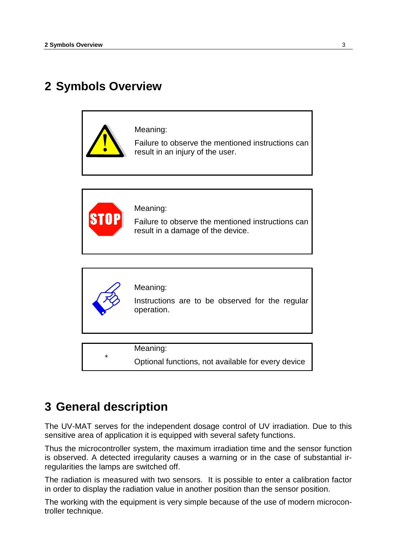# <span id="page-2-0"></span>**2 Symbols Overview**





Meaning:

Failure to observe the mentioned instructions can result in a damage of the device.



Meaning:

Instructions are to be observed for the regular operation.

Meaning:

Optional functions, not available for every device

# <span id="page-2-1"></span>**3 General description**

\*

The UV-MAT serves for the independent dosage control of UV irradiation. Due to this sensitive area of application it is equipped with several safety functions.

Thus the microcontroller system, the maximum irradiation time and the sensor function is observed. A detected irregularity causes a warning or in the case of substantial irregularities the lamps are switched off.

The radiation is measured with two sensors. It is possible to enter a calibration factor in order to display the radiation value in another position than the sensor position.

The working with the equipment is very simple because of the use of modern microcontroller technique.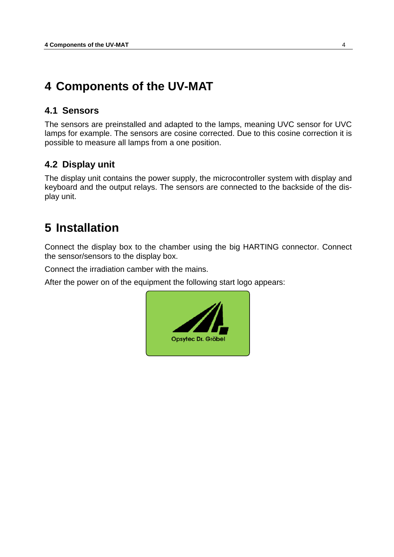# <span id="page-3-0"></span>**4 Components of the UV-MAT**

### <span id="page-3-1"></span>**4.1 Sensors**

The sensors are preinstalled and adapted to the lamps, meaning UVC sensor for UVC lamps for example. The sensors are cosine corrected. Due to this cosine correction it is possible to measure all lamps from a one position.

## <span id="page-3-2"></span>**4.2 Display unit**

The display unit contains the power supply, the microcontroller system with display and keyboard and the output relays. The sensors are connected to the backside of the display unit.

# <span id="page-3-3"></span>**5 Installation**

Connect the display box to the chamber using the big HARTING connector. Connect the sensor/sensors to the display box.

Connect the irradiation camber with the mains.

After the power on of the equipment the following start logo appears:

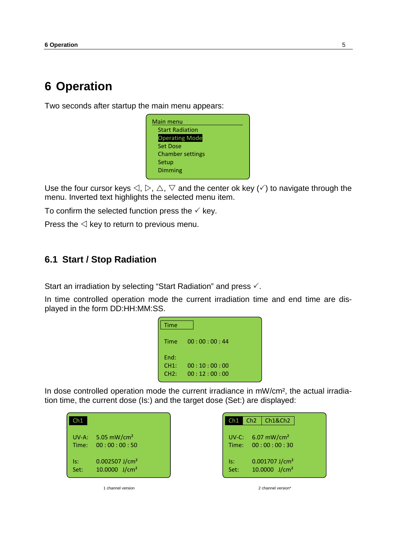# <span id="page-4-0"></span>**6 Operation**

Two seconds after startup the main menu appears:



Use the four cursor keys  $\triangle, \triangleright, \triangle, \triangledown$  and the center ok key ( $\checkmark$ ) to navigate through the menu. Inverted text highlights the selected menu item.

To confirm the selected function press the  $\checkmark$  key.

Press the  $\triangleleft$  key to return to previous menu.

### <span id="page-4-1"></span>**6.1 Start / Stop Radiation**

Start an irradiation by selecting "Start Radiation" and press  $\checkmark$ .

In time controlled operation mode the current irradiation time and end time are displayed in the form DD:HH:MM:SS.

| Time |             |  |
|------|-------------|--|
| Time | 00:00:00:44 |  |
| End: |             |  |
| CH1: | 00:10:00:00 |  |
| CH2: | 00:12:00:00 |  |
|      |             |  |

In dose controlled operation mode the current irradiance in mW/cm², the actual irradiation time, the current dose (Is:) and the target dose (Set:) are displayed:

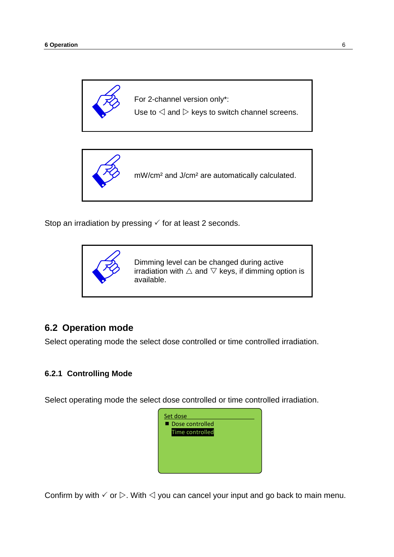

For 2-channel version only\*:

Use to  $\triangleleft$  and  $\triangleright$  keys to switch channel screens.



Stop an irradiation by pressing  $\checkmark$  for at least 2 seconds.



## <span id="page-5-0"></span>**6.2 Operation mode**

Select operating mode the select dose controlled or time controlled irradiation.

#### <span id="page-5-1"></span>**6.2.1 Controlling Mode**

Select operating mode the select dose controlled or time controlled irradiation.



Confirm by with  $\check{\phantom{1}}$  or  $\triangleright$ . With  $\preceq$  you can cancel your input and go back to main menu.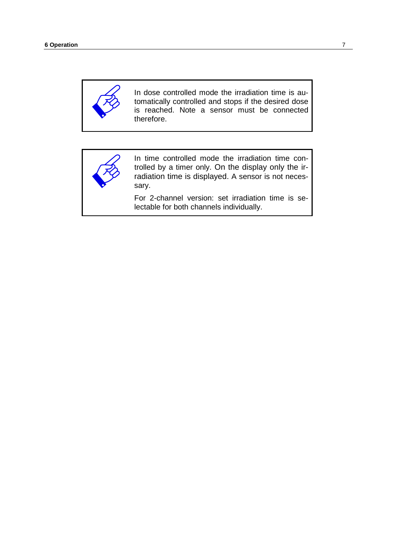

In dose controlled mode the irradiation time is automatically controlled and stops if the desired dose is reached. Note a sensor must be connected therefore.



In time controlled mode the irradiation time controlled by a timer only. On the display only the irradiation time is displayed. A sensor is not necessary.

For 2-channel version: set irradiation time is selectable for both channels individually.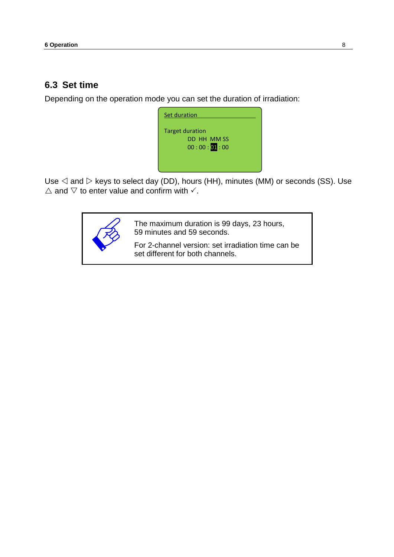### <span id="page-7-0"></span>**6.3 Set time**

Depending on the operation mode you can set the duration of irradiation:

| Set duration                                         |  |
|------------------------------------------------------|--|
| <b>Target duration</b><br>DD HH MM SS<br>00:00:01:00 |  |

Use  $\triangleleft$  and  $\triangleright$  keys to select day (DD), hours (HH), minutes (MM) or seconds (SS). Use  $\triangle$  and  $\triangledown$  to enter value and confirm with  $\checkmark$ .



The maximum duration is 99 days, 23 hours, 59 minutes and 59 seconds.

For 2-channel version: set irradiation time can be set different for both channels.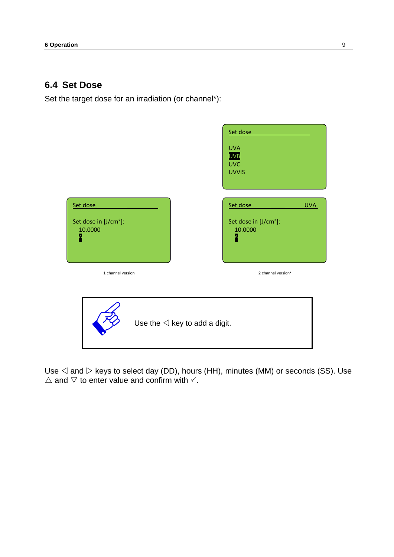### <span id="page-8-0"></span>**6.4 Set Dose**

Set the target dose for an irradiation (or channel\*):



Use  $\triangleleft$  and  $\triangleright$  keys to select day (DD), hours (HH), minutes (MM) or seconds (SS). Use  $\triangle$  and  $\nabla$  to enter value and confirm with  $\checkmark$ .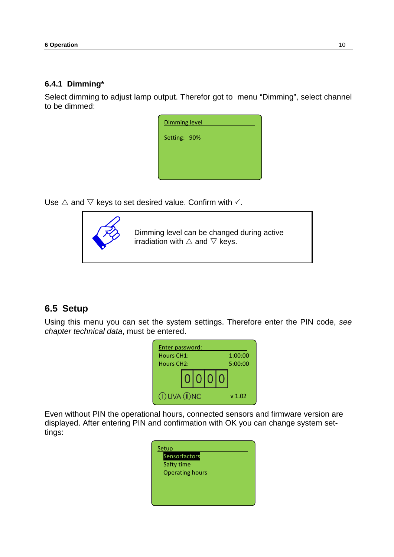#### <span id="page-9-0"></span>**6.4.1 Dimming\***

Select dimming to adjust lamp output. Therefor got to menu "Dimming", select channel to be dimmed:

| <b>Dimming level</b> |  |  |
|----------------------|--|--|
| Setting: 90%         |  |  |
|                      |  |  |
|                      |  |  |
|                      |  |  |

Use  $\triangle$  and  $\nabla$  keys to set desired value. Confirm with  $\checkmark$ .



Dimming level can be changed during active irradiation with  $\triangle$  and  $\nabla$  keys.

## <span id="page-9-1"></span>**6.5 Setup**

Using this menu you can set the system settings. Therefore enter the PIN code, *see chapter technical data*, must be entered.

|                         | Enter password: |  |         |                   |
|-------------------------|-----------------|--|---------|-------------------|
| Hours CH1:              |                 |  | 1:00:00 |                   |
| Hours CH <sub>2</sub> : |                 |  |         | 5:00:00           |
|                         |                 |  | 0 0 0   |                   |
| (I) UVA (II) NC         |                 |  |         | v <sub>1.02</sub> |

Even without PIN the operational hours, connected sensors and firmware version are displayed. After entering PIN and confirmation with OK you can change system settings:

| Setup<br>Sensorfactors               |
|--------------------------------------|
| Safty time<br><b>Operating hours</b> |
|                                      |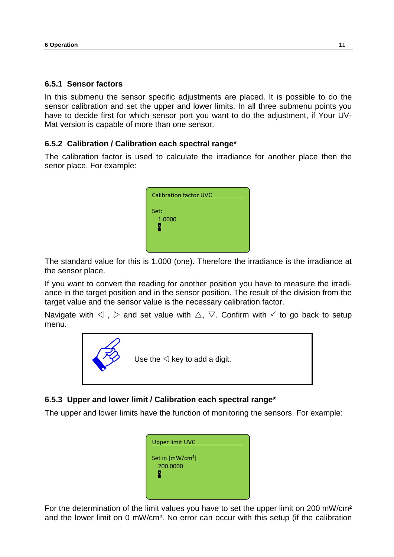#### <span id="page-10-0"></span>**6.5.1 Sensor factors**

In this submenu the sensor specific adjustments are placed. It is possible to do the sensor calibration and set the upper and lower limits. In all three submenu points you have to decide first for which sensor port you want to do the adjustment, if Your UV-Mat version is capable of more than one sensor.

#### <span id="page-10-1"></span>**6.5.2 Calibration / Calibration each spectral range\***

The calibration factor is used to calculate the irradiance for another place then the senor place. For example:

| <b>Calibration factor UVC</b> |  |
|-------------------------------|--|
| Set:<br>1.0000                |  |

The standard value for this is 1.000 (one). Therefore the irradiance is the irradiance at the sensor place.

If you want to convert the reading for another position you have to measure the irradiance in the target position and in the sensor position. The result of the division from the target value and the sensor value is the necessary calibration factor.

Navigate with  $\triangle$ ,  $\triangleright$  and set value with  $\triangle$ ,  $\triangledown$ . Confirm with  $\checkmark$  to go back to setup menu.



#### <span id="page-10-2"></span>**6.5.3 Upper and lower limit / Calibration each spectral range\***

The upper and lower limits have the function of monitoring the sensors. For example:

| <b>Upper limit UVC</b>                   |  |
|------------------------------------------|--|
| Set in [mW/cm <sup>2</sup> ]<br>200.0000 |  |

For the determination of the limit values you have to set the upper limit on 200 mW/cm² and the lower limit on 0 mW/cm². No error can occur with this setup (if the calibration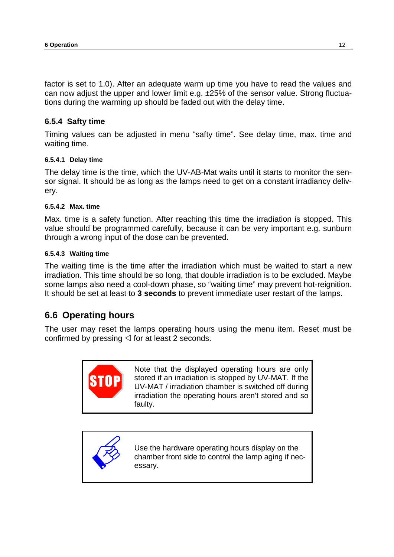factor is set to 1.0). After an adequate warm up time you have to read the values and can now adjust the upper and lower limit e.g. ±25% of the sensor value. Strong fluctuations during the warming up should be faded out with the delay time.

#### <span id="page-11-0"></span>**6.5.4 Safty time**

Timing values can be adjusted in menu "safty time". See delay time, max. time and waiting time.

#### **6.5.4.1 Delay time**

The delay time is the time, which the UV-AB-Mat waits until it starts to monitor the sensor signal. It should be as long as the lamps need to get on a constant irradiancy delivery.

#### **6.5.4.2 Max. time**

Max. time is a safety function. After reaching this time the irradiation is stopped. This value should be programmed carefully, because it can be very important e.g. sunburn through a wrong input of the dose can be prevented.

#### **6.5.4.3 Waiting time**

The waiting time is the time after the irradiation which must be waited to start a new irradiation. This time should be so long, that double irradiation is to be excluded. Maybe some lamps also need a cool-down phase, so "waiting time" may prevent hot-reignition. It should be set at least to **3 seconds** to prevent immediate user restart of the lamps.

### <span id="page-11-1"></span>**6.6 Operating hours**

The user may reset the lamps operating hours using the menu item. Reset must be confirmed by pressing  $\triangleleft$  for at least 2 seconds.



Note that the displayed operating hours are only stored if an irradiation is stopped by UV-MAT. If the UV-MAT / irradiation chamber is switched off during irradiation the operating hours aren't stored and so faulty.



Use the hardware operating hours display on the chamber front side to control the lamp aging if necessary.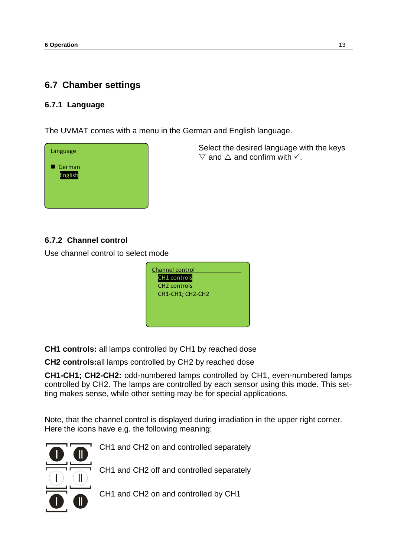## <span id="page-12-0"></span>**6.7 Chamber settings**

#### <span id="page-12-1"></span>**6.7.1 Language**

The UVMAT comes with a menu in the German and English language.



Select the desired language with the keys  $\nabla$  and  $\triangle$  and confirm with  $\checkmark$ .

### <span id="page-12-2"></span>**6.7.2 Channel control**

Use channel control to select mode



**CH1 controls:** all lamps controlled by CH1 by reached dose

**CH2 controls:**all lamps controlled by CH2 by reached dose

**CH1-CH1; CH2-CH2:** odd-numbered lamps controlled by CH1, even-numbered lamps controlled by CH2. The lamps are controlled by each sensor using this mode. This setting makes sense, while other setting may be for special applications.

Note, that the channel control is displayed during irradiation in the upper right corner. Here the icons have e.g. the following meaning: